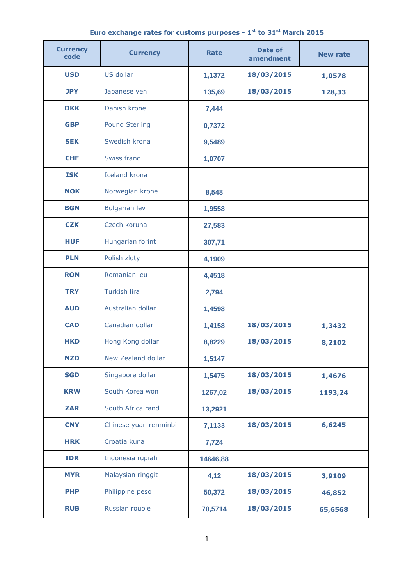| Euro exchange rates for customs purposes - 1 <sup>st</sup> to 31 <sup>st</sup> March 2015 |  |  |  |  |  |
|-------------------------------------------------------------------------------------------|--|--|--|--|--|
|-------------------------------------------------------------------------------------------|--|--|--|--|--|

| <b>Currency</b><br>code | <b>Currency</b>       | Rate     | Date of<br>amendment | <b>New rate</b> |
|-------------------------|-----------------------|----------|----------------------|-----------------|
| <b>USD</b>              | US dollar             | 1,1372   | 18/03/2015           | 1,0578          |
| <b>JPY</b>              | Japanese yen          | 135,69   | 18/03/2015           | 128,33          |
| <b>DKK</b>              | Danish krone          | 7,444    |                      |                 |
| <b>GBP</b>              | <b>Pound Sterling</b> | 0,7372   |                      |                 |
| <b>SEK</b>              | Swedish krona         | 9,5489   |                      |                 |
| <b>CHF</b>              | <b>Swiss franc</b>    | 1,0707   |                      |                 |
| <b>ISK</b>              | <b>Iceland krona</b>  |          |                      |                 |
| <b>NOK</b>              | Norwegian krone       | 8,548    |                      |                 |
| <b>BGN</b>              | <b>Bulgarian lev</b>  | 1,9558   |                      |                 |
| <b>CZK</b>              | Czech koruna          | 27,583   |                      |                 |
| <b>HUF</b>              | Hungarian forint      | 307,71   |                      |                 |
| <b>PLN</b>              | Polish zloty          | 4,1909   |                      |                 |
| <b>RON</b>              | Romanian leu          | 4,4518   |                      |                 |
| <b>TRY</b>              | <b>Turkish lira</b>   | 2,794    |                      |                 |
| <b>AUD</b>              | Australian dollar     | 1,4598   |                      |                 |
| <b>CAD</b>              | Canadian dollar       | 1,4158   | 18/03/2015           | 1,3432          |
| <b>HKD</b>              | Hong Kong dollar      | 8,8229   | 18/03/2015           | 8,2102          |
| <b>NZD</b>              | New Zealand dollar    | 1,5147   |                      |                 |
| <b>SGD</b>              | Singapore dollar      | 1,5475   | 18/03/2015           | 1,4676          |
| <b>KRW</b>              | South Korea won       | 1267,02  | 18/03/2015           | 1193,24         |
| <b>ZAR</b>              | South Africa rand     | 13,2921  |                      |                 |
| <b>CNY</b>              | Chinese yuan renminbi | 7,1133   | 18/03/2015           | 6,6245          |
| <b>HRK</b>              | Croatia kuna          | 7,724    |                      |                 |
| <b>IDR</b>              | Indonesia rupiah      | 14646,88 |                      |                 |
| <b>MYR</b>              | Malaysian ringgit     | 4,12     | 18/03/2015           | 3,9109          |
| <b>PHP</b>              | Philippine peso       | 50,372   | 18/03/2015           | 46,852          |
| <b>RUB</b>              | Russian rouble        | 70,5714  | 18/03/2015           | 65,6568         |